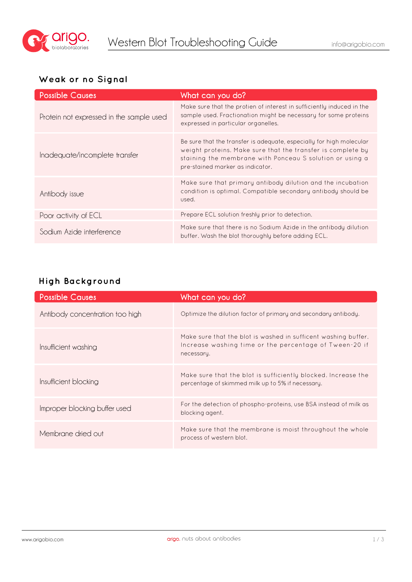

#### **Weak or no Signal**

| <b>Possible Causes</b>                   | What can you do?                                                                                                                                                                                                                    |
|------------------------------------------|-------------------------------------------------------------------------------------------------------------------------------------------------------------------------------------------------------------------------------------|
| Protein not expressed in the sample used | Make sure that the protien of interest in sufficiently induced in the<br>sample used. Fractionation might be necessary for some proteins<br>expressed in particular organelles.                                                     |
| Inadequate/incomplete transfer           | Be sure that the transfer is adequate, especially for high molecular<br>weight proteins. Make sure that the transfer is complete by<br>staining the membrane with Ponceau S solution or using a<br>pre-stained marker as indicator. |
| Antibody issue                           | Make sure that primary antibody dilution and the incubation<br>condition is optimal. Compatible secondary antibody should be<br>used.                                                                                               |
| Poor activity of ECL                     | Prepare ECL solution freshly prior to detection.                                                                                                                                                                                    |
| Sodium Azide interference                | Make sure that there is no Sodium Azide in the antibody dilution<br>buffer. Wash the blot thoroughly before adding ECL.                                                                                                             |

## **High Background**

| <b>Possible Causes</b>          | What can you do?                                                                                                                       |
|---------------------------------|----------------------------------------------------------------------------------------------------------------------------------------|
| Antibody concentration too high | Optimize the dilution factor of primary and secondary antibody.                                                                        |
| Insufficient washing            | Make sure that the blot is washed in sufficent washing buffer.<br>Increase washing time or the percentage of Tween-20 if<br>necessary. |
| Insufficient blocking           | Make sure that the blot is sufficiently blocked. Increase the<br>percentage of skimmed milk up to 5% if necessary.                     |
| Improper blocking buffer used   | For the detection of phospho-proteins, use BSA instead of milk as<br>blocking agent.                                                   |
| Membrane dried out              | Make sure that the membrane is moist throughout the whole<br>process of western blot.                                                  |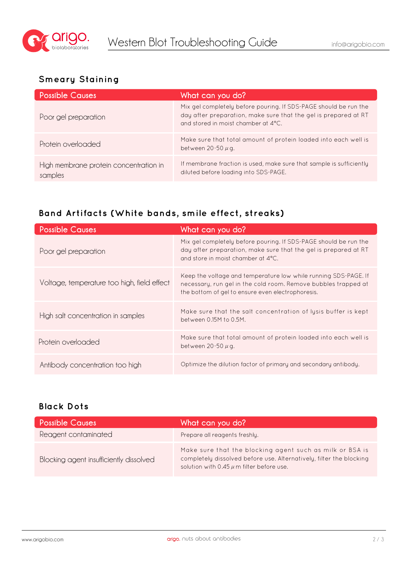

## **Smeary Staining**

| <b>Possible Causes</b>                            | What can you do?                                                                                                                                                           |
|---------------------------------------------------|----------------------------------------------------------------------------------------------------------------------------------------------------------------------------|
| Poor gel preparation                              | Mix gel completely before pouring. If SDS-PAGE should be run the<br>day after preparation, make sure that the gel is prepared at RT<br>and stored in moist chamber at 4°C. |
| Protein overloaded                                | Make sure that total amount of protein loaded into each well is<br>between 20-50 $\mu$ g.                                                                                  |
| High membrane protein concentration in<br>samples | If membrane fraction is used, make sure that sample is sufficiently<br>diluted before loading into SDS-PAGE.                                                               |

## **Band Artifacts (White bands, smile effect, streaks)**

| <b>Possible Causes</b>                      | What can you do?                                                                                                                                                                       |
|---------------------------------------------|----------------------------------------------------------------------------------------------------------------------------------------------------------------------------------------|
| Poor gel preparation                        | Mix gel completely before pouring. If SDS-PAGE should be run the<br>day after preparation, make sure that the gel is prepared at RT<br>and store in moist chamber at 4°C.              |
| Voltage, temperature too high, field effect | Keep the voltage and temperature low while running SDS-PAGE. If<br>necessary, run gel in the cold room. Remove bubbles trapped at<br>the bottom of gel to ensure even electrophoresis. |
| High salt concentration in samples          | Make sure that the salt concentration of lysis buffer is kept<br>between 0.15M to 0.5M.                                                                                                |
| Protein overloaded                          | Make sure that total amount of protein loaded into each well is<br>between 20-50 $\mu$ g.                                                                                              |
| Antibody concentration too high             | Optimize the dilution factor of primary and secondary antibody.                                                                                                                        |

#### **Black Dots**

| <b>Possible Causes</b>                  | What can you do?                                                                                                                                                                 |
|-----------------------------------------|----------------------------------------------------------------------------------------------------------------------------------------------------------------------------------|
| Reagent contaminated                    | Prepare all reagents freshly.                                                                                                                                                    |
| Blocking agent insufficiently dissolved | Make sure that the blocking agent such as milk or BSA is<br>completely dissolved before use. Alternatively, filter the blocking<br>solution with 0.45 $\mu$ m filter before use. |